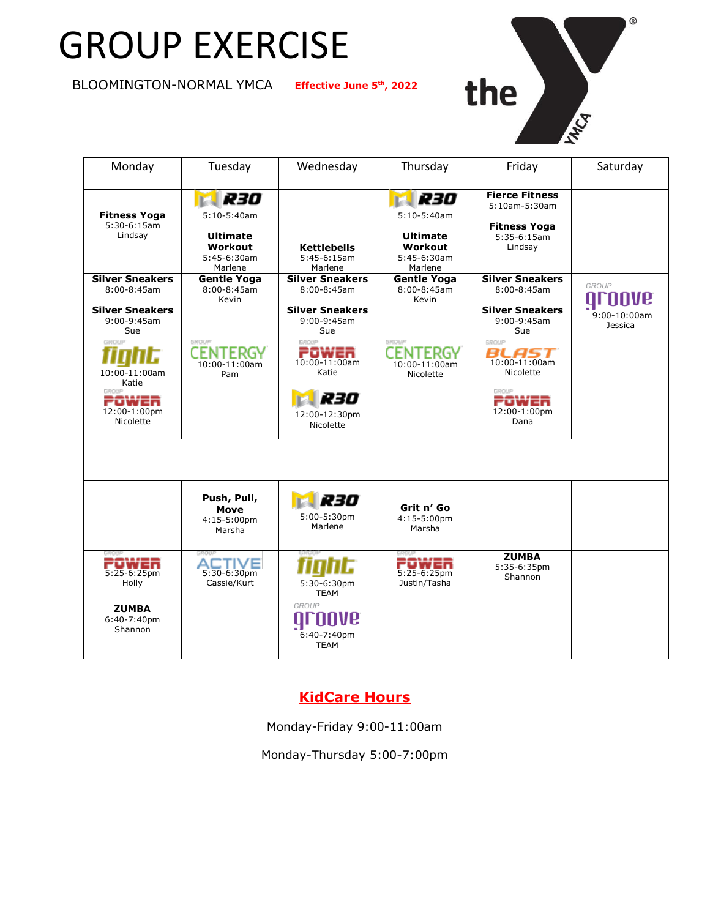# GROUP EXERCISE

**BLOOMINGTON-NORMAL YMCA** 

**th , 2022**



 $^\circledR$ 

| Monday                                                                                       | Tuesday                                                                      | Wednesday                                                                                    | Thursday                                                                      | Friday                                                                                           | Saturday                                        |
|----------------------------------------------------------------------------------------------|------------------------------------------------------------------------------|----------------------------------------------------------------------------------------------|-------------------------------------------------------------------------------|--------------------------------------------------------------------------------------------------|-------------------------------------------------|
| <b>Fitness Yoga</b><br>$5:30-6:15am$<br>Lindsay                                              | R30<br>$5:10-5:40am$<br><b>Ultimate</b><br>Workout<br>5:45-6:30am<br>Marlene | Kettlebells<br>$5:45-6:15am$<br>Marlene                                                      | R30<br>$5:10-5:40$ am<br><b>Ultimate</b><br>Workout<br>5:45-6:30am<br>Marlene | <b>Fierce Fitness</b><br>$5:10$ am- $5:30$ am<br><b>Fitness Yoga</b><br>$5:35-6:15am$<br>Lindsay |                                                 |
| <b>Silver Sneakers</b><br>$8:00 - 8:45$ am<br><b>Silver Sneakers</b><br>$9:00-9:45am$<br>Sue | <b>Gentle Yoga</b><br>$8:00 - 8:45$ am<br>Kevin                              | <b>Silver Sneakers</b><br>$8:00 - 8:45$ am<br><b>Silver Sneakers</b><br>$9:00-9:45am$<br>Sue | <b>Gentle Yoga</b><br>$8:00 - 8:45$ am<br>Kevin                               | <b>Silver Sneakers</b><br>$8:00 - 8:45$ am<br><b>Silver Sneakers</b><br>$9:00-9:45am$<br>Sue     | GROUP<br>QI<br>$9:00-10:00am$<br><b>Jessica</b> |
| 10:00-11:00am<br>Katie                                                                       | CENTERGY<br>10:00-11:00am<br>Pam                                             | POWER<br>$10:00 - 11:00$ am<br>Katie                                                         | CENTERGY<br>$10:00 - 11:00$ am<br>Nicolette                                   | BLAST<br>$10:00-11:00am$<br>Nicolette                                                            |                                                 |
| POWER<br>12:00-1:00pm<br>Nicolette                                                           |                                                                              | R30<br>12:00-12:30pm<br>Nicolette                                                            |                                                                               | POWER<br>12:00-1:00pm<br>Dana                                                                    |                                                 |
|                                                                                              |                                                                              |                                                                                              |                                                                               |                                                                                                  |                                                 |
|                                                                                              | Push, Pull,<br>Move<br>4:15-5:00pm<br>Marsha                                 | R30<br>5:00-5:30pm<br>Marlene                                                                | Grit n' Go<br>4:15-5:00pm<br>Marsha                                           |                                                                                                  |                                                 |
| POWER<br>5:25-6:25pm<br>Holly                                                                | <b>ACTIVE</b><br>5:30-6:30pm<br>Cassie/Kurt                                  | 5:30-6:30pm<br><b>TEAM</b>                                                                   | コオサモラ<br>5:25-6:25pm<br>Justin/Tasha                                          | <b>ZUMBA</b><br>5:35-6:35pm<br>Shannon                                                           |                                                 |
| <b>ZUMBA</b><br>6:40-7:40pm<br>Shannon                                                       |                                                                              | GROUF<br>6:40-7:40pm<br><b>TEAM</b>                                                          |                                                                               |                                                                                                  |                                                 |

## **KidCare Hours**

Monday-Friday 9:00-11:00am

Monday-Thursday 5:00-7:00pm